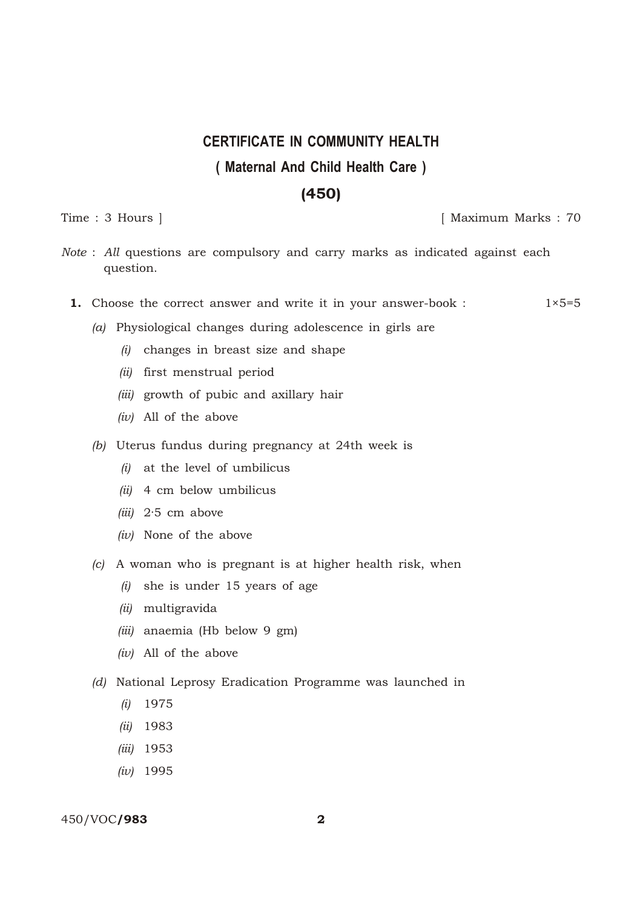## **CERTIFICATE IN COMMUNITY HEALTH ( Ma ter nal And Child Health Care )** (450)

Time : 3 Hours ] [ Maximum Marks : 70

- *Note* : *All* questions are compulsory and carry marks as indicated against each question.
- **1.** Choose the correct answer and write it in your answer-book :  $1 \times 5=5$ 
	- *(a)* Physiological changes during adolescence in girls are
		- *(i)* changes in breast size and shape
		- *(ii)* first menstrual period
		- *(iii)* growth of pubic and axillary hair
		- *(iv)* All of the above
	- *(b)* Uterus fundus during pregnancy at 24th week is
		- *(i)* at the level of umbilicus
		- *(ii)* 4 cm below umbilicus
		- *(iii)* 2·5 cm above
		- *(iv)* None of the above
	- *(c)* A woman who is pregnant is at higher health risk, when
		- *(i)* she is under 15 years of age
		- *(ii)* multigravida
		- *(iii)* anaemia (Hb below 9 gm)
		- *(iv)* All of the above
	- *(d)* National Leprosy Eradication Programme was launched in
		- *(i)* 1975
		- *(ii)* 1983
		- *(iii)* 1953
		- *(iv)* 1995

## 450/VOC/983 2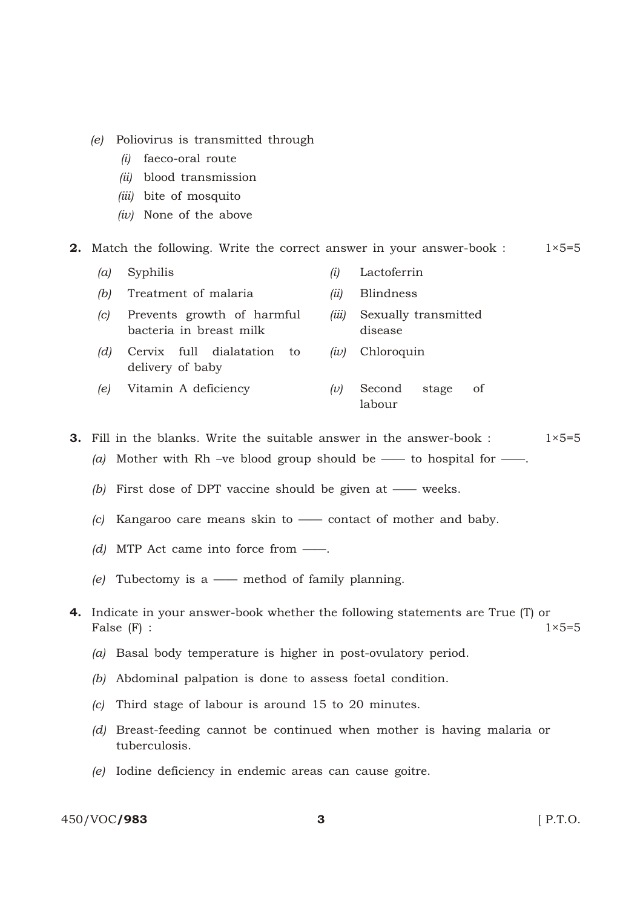- *(e)* Poliovirus is transmitted through
	- *(i)* faeco-oral route
	- *(ii)* blood transmission
	- *(iii)* bite of mosquito
	- *(iv)* None of the above

## **2.** Match the following. Write the correct answer in your answer-book :  $1 \times 5=5$

- *(a)* Syphilis *(i)* Lactoferrin
- *(b)* Treat ment of malaria *(ii)* Blindness
- *(c)* Prevents growth of harmful bacteria in breast milk *(iii)* Sexually transmitted disease
- *(d)* Cervix full dialatation to delivery of baby *(iv)* Chloroquin
- *(e)* Vitamin A deficiency *(v)* Second stage of labour
- **3.** Fill in the blanks. Write the suitable answer in the answer-book :  $1 \times 5 = 5$ 
	- (a) Mother with Rh –ve blood group should be —— to hospital for —
	- *(b)* First dose of DPT vaccine should be given at —— weeks.
	- *(c)* Kangaroo care means skin to —— contact of mother and baby.
	- *(d)* MTP Act came into force from ——.
	- *(e)* Tubectomy is a —— method of family planning.
- 4. Indicate in your answer-book whether the following statements are True (T) or False  $(F)$ :  $1 \times 5=5$ 
	- *(a)* Basal body temperature is higher in post-ovulatory period.
	- *(b)* Abdominal palpation is done to assess foetal condition.
	- *(c)* Third stage of labour is around 15 to 20 minutes.
	- *(d)* Breast-feeding cannot be continued when mother is having malaria or tuberculosis.
	- *(e)* Iodine deficiency in endemic areas can cause goitre.

450/VOC/**983** 3 **3** [ P.T.O.